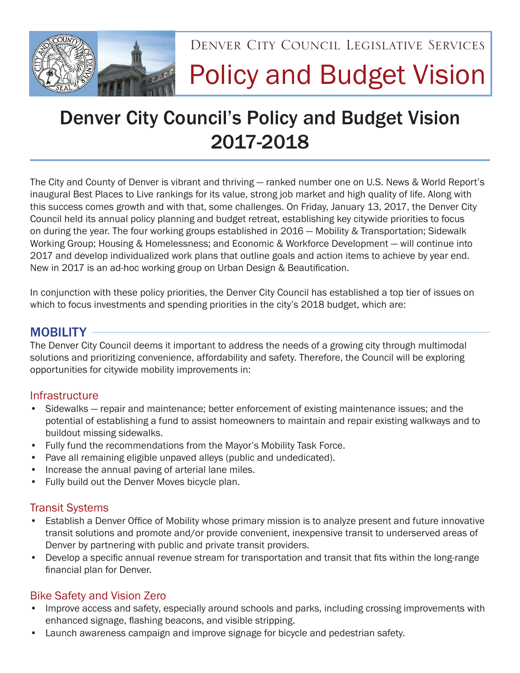

Denver City Council Legislative Services

# Policy and Budget Vision

# Denver City Council's Policy and Budget Vision 2017-2018

The City and County of Denver is vibrant and thriving — ranked number one on U.S. News & World Report's inaugural Best Places to Live rankings for its value, strong job market and high quality of life. Along with this success comes growth and with that, some challenges. On Friday, January 13, 2017, the Denver City Council held its annual policy planning and budget retreat, establishing key citywide priorities to focus on during the year. The four working groups established in 2016 — Mobility & Transportation; Sidewalk Working Group; Housing & Homelessness; and Economic & Workforce Development — will continue into 2017 and develop individualized work plans that outline goals and action items to achieve by year end. New in 2017 is an ad-hoc working group on Urban Design & Beautification.

In conjunction with these policy priorities, the Denver City Council has established a top tier of issues on which to focus investments and spending priorities in the city's 2018 budget, which are:

# MOBILITY -

The Denver City Council deems it important to address the needs of a growing city through multimodal solutions and prioritizing convenience, affordability and safety. Therefore, the Council will be exploring opportunities for citywide mobility improvements in:

#### **Infrastructure**

- Sidewalks repair and maintenance; better enforcement of existing maintenance issues; and the potential of establishing a fund to assist homeowners to maintain and repair existing walkways and to buildout missing sidewalks.
- Fully fund the recommendations from the Mayor's Mobility Task Force.
- Pave all remaining eligible unpaved alleys (public and undedicated).
- Increase the annual paving of arterial lane miles.
- Fully build out the Denver Moves bicycle plan.

#### Transit Systems

- Establish a Denver Office of Mobility whose primary mission is to analyze present and future innovative transit solutions and promote and/or provide convenient, inexpensive transit to underserved areas of Denver by partnering with public and private transit providers.
- Develop a specific annual revenue stream for transportation and transit that fits within the long-range financial plan for Denver.

#### Bike Safety and Vision Zero

- Improve access and safety, especially around schools and parks, including crossing improvements with enhanced signage, flashing beacons, and visible stripping.
- Launch awareness campaign and improve signage for bicycle and pedestrian safety.